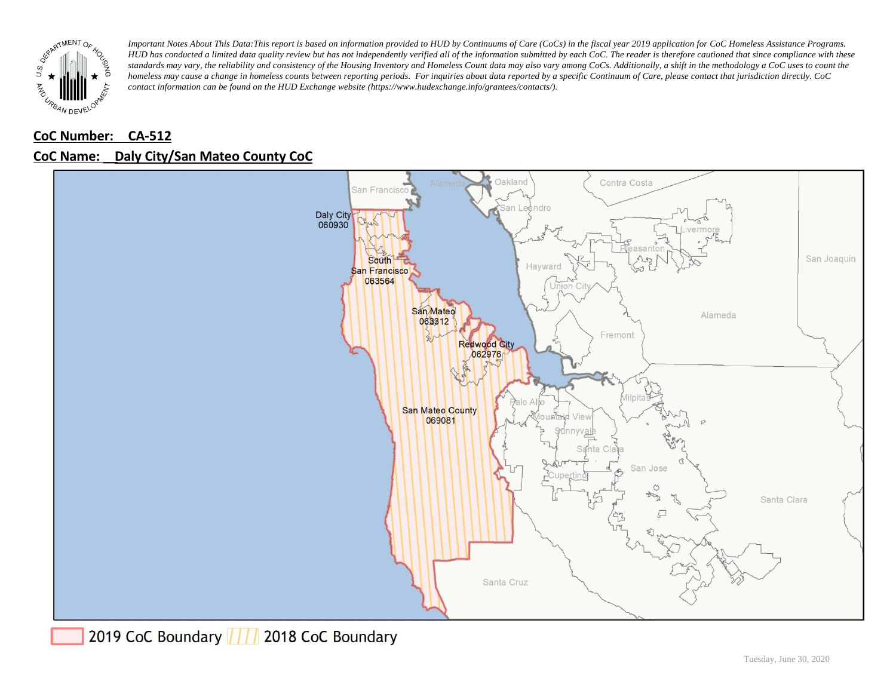

## **CoC Number: CA-512 CoC Name: \_\_ Daly City/San Mateo County CoC**



2019 CoC Boundary | | | 2018 CoC Boundary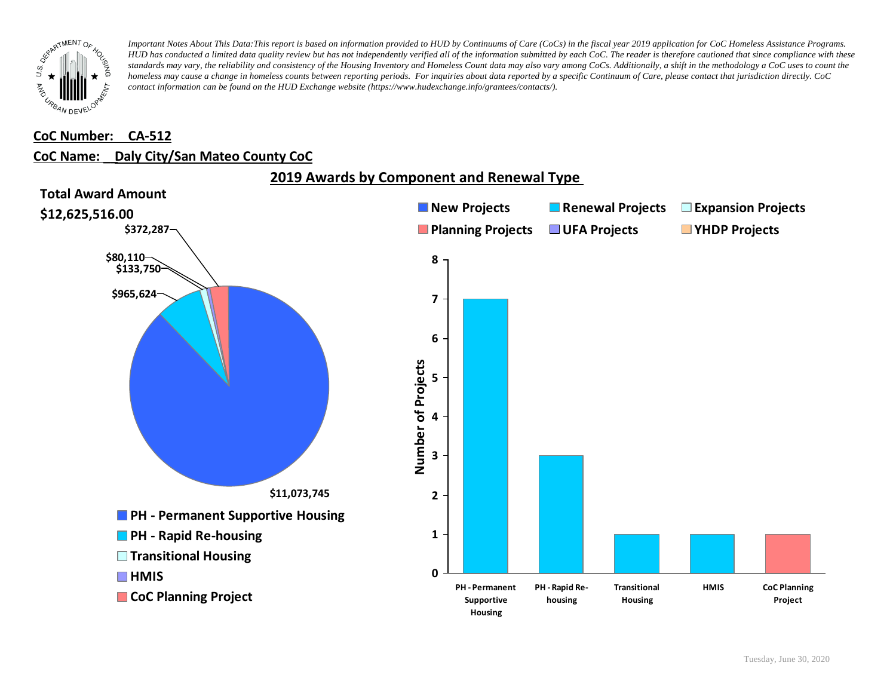

#### **CoC Number: CA-512**

### **CoC Name: \_\_ Daly City/San Mateo County CoC**



**2019 Awards by Component and Renewal Type**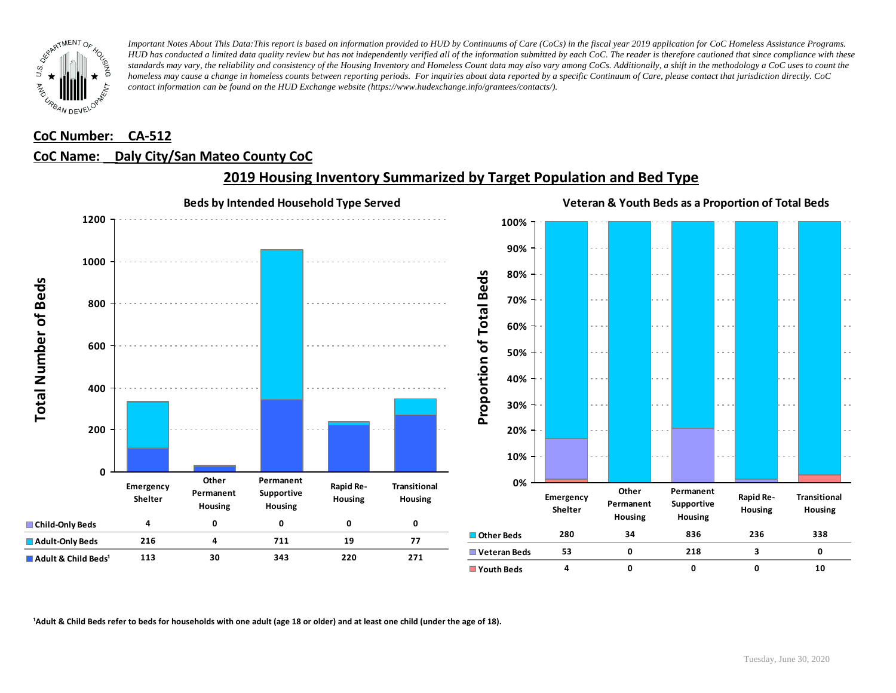

### **CoC Number: CA-512**

### **CoC Name: \_\_ Daly City/San Mateo County CoC**



### **2019 Housing Inventory Summarized by Target Population and Bed Type**

<sup>1</sup> Adult & Child Beds refer to beds for households with one adult (age 18 or older) and at least one child (under the age of 18).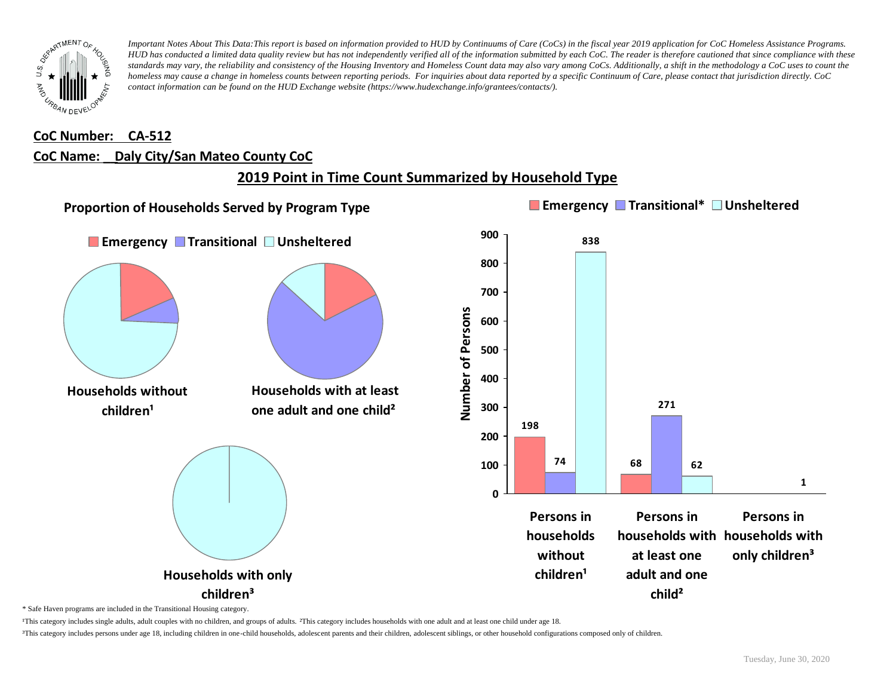

## **CoC Number: CA-512 CoC Name: \_\_ Daly City/San Mateo County CoC**

# **2019 Point in Time Count Summarized by Household Type**



\* Safe Haven programs are included in the Transitional Housing category.

¹This category includes single adults, adult couples with no children, and groups of adults. ²This category includes households with one adult and at least one child under age 18.

³This category includes persons under age 18, including children in one-child households, adolescent parents and their children, adolescent siblings, or other household configurations composed only of children.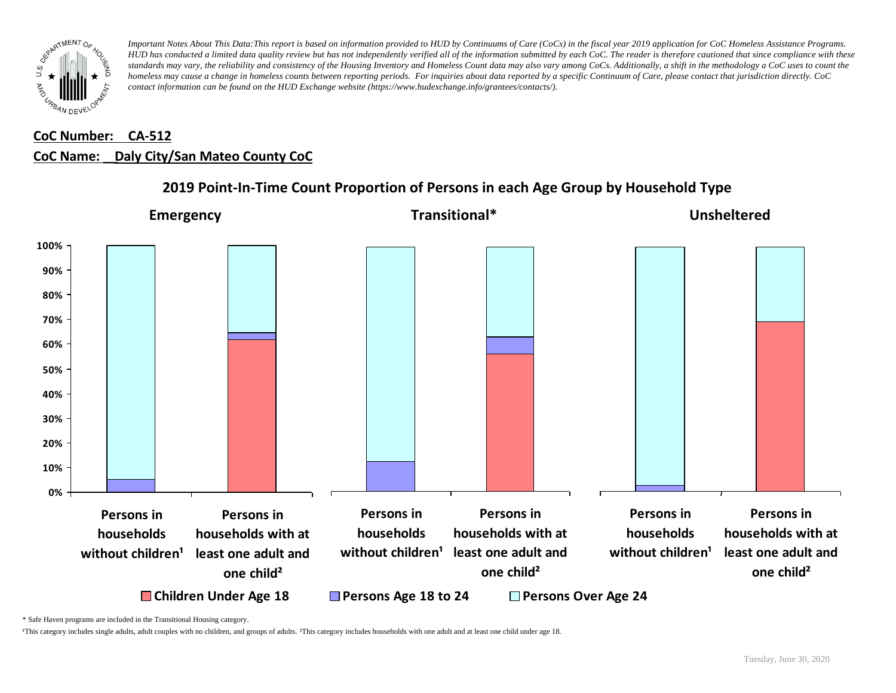

## **CoC Number: CA-512 CoC Name: \_\_ Daly City/San Mateo County CoC**



**2019 Point-In-Time Count Proportion of Persons in each Age Group by Household Type**

\* Safe Haven programs are included in the Transitional Housing category.

¹This category includes single adults, adult couples with no children, and groups of adults. ²This category includes households with one adult and at least one child under age 18.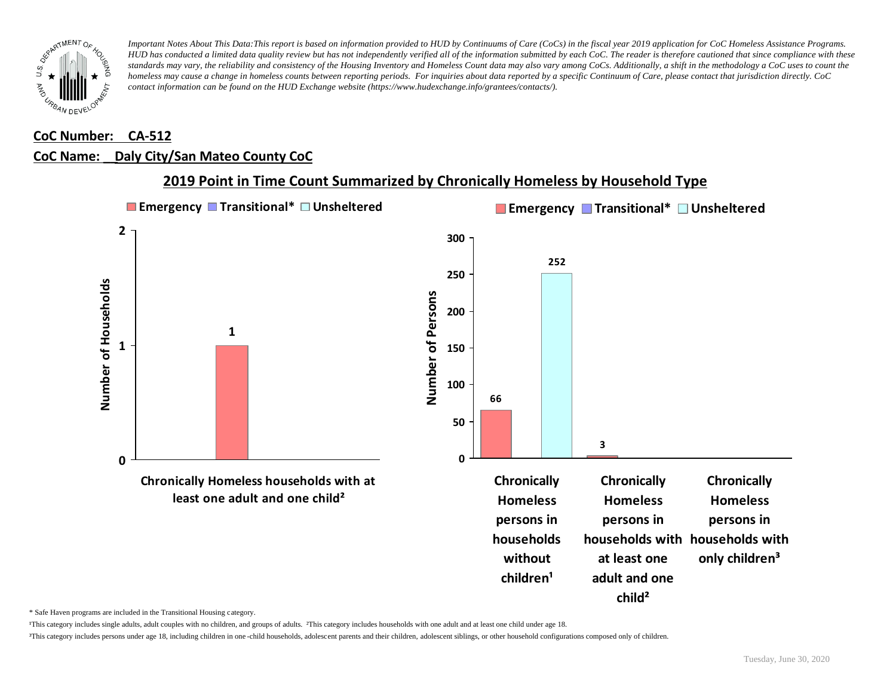

### **CoC Number: CA-512**

#### **CoC Name: \_\_ Daly City/San Mateo County CoC**



### **2019 Point in Time Count Summarized by Chronically Homeless by Household Type**

\* Safe Haven programs are included in the Transitional Housing category.

¹This category includes single adults, adult couples with no children, and groups of adults. ²This category includes households with one adult and at least one child under age 18.

³This category includes persons under age 18, including children in one -child households, adolescent parents and their children, adolescent siblings, or other household configurations composed only of children.